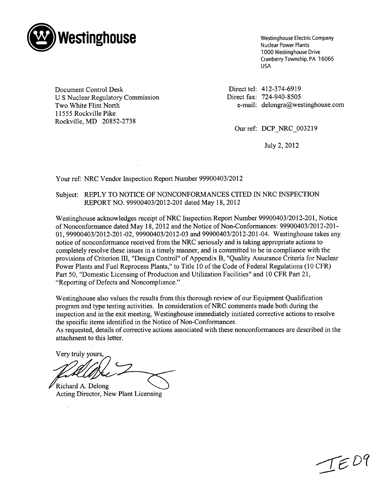

Westinghouse Electric Company Nuclear Power Plants 1000 Westinghouse Drive Cranberry Township, PA 16066 USA

Document Control Desk U S Nuclear Regulatory Commission Two White Flint North 11555 Rockville Pike Rockville, MD 20852-2738

Direct tel: 412-374-6919 Direct fax: 724-940-8505 e-mail: delongra@westinghouse.con

Our ref: DCP NRC 003219

July 2, 2012

Your ref: NRC Vendor Inspection Report Number 99900403/2012

#### Subject: REPLY TO NOTICE OF NONCONFORMANCES CITED IN NRC INSPECTION REPORT NO. 99900403/2012-201 dated May 18, 2012

Westinghouse acknowledges receipt of NRC Inspection Report Number 99900403/2012-201, Notice of Nonconformance dated May 18, 2012 and the Notice of Non-Conformances: 99900403/2012-201 **-** 01, 99900403/2012-201-02, 99900403/2012-03 and 99900403/2012-201-04. Westinghouse takes any notice of nonconformance received from the NRC seriously and is taking appropriate actions to completely resolve these issues in a timely manner, and is committed to be in compliance with the provisions of Criterion III, "Design Control" of Appendix B, "Quality Assurance Criteria for Nuclear Power Plants and Fuel Reprocess Plants," to Title 10 of the Code of Federal Regulations (10 CFR) Part 50, "Domestic Licensing of Production and Utilization Facilities" and 10 CFR Part 21, "Reporting of Defects and Noncompliance."

Westinghouse also values the results from this thorough review of our Equipment Qualification program and type testing activities. In consideration of NRC comments made both during the inspection and in the exit meeting, Westinghouse immediately initiated corrective actions to resolve the specific items identified in the Notice of Non-Conformances.

As requested, details of corrective actions associated with these nonconformances are described in the attachment to this letter.

Very truly yours,

Richard A. Delong Acting Director, New Plant Licensing

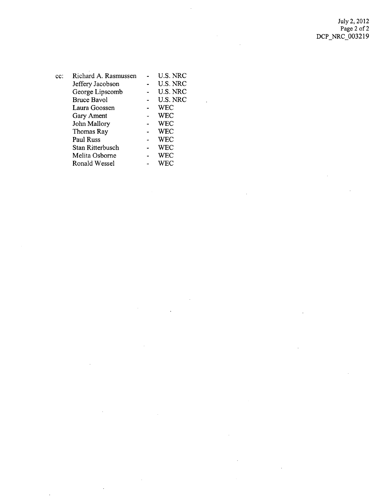July 2, 2012 Page 2 of 2 DCP\_NRC\_003219

J.

 $\overline{\phantom{a}}$ 

 $\mathbb{R}^2$ 

 $\mathcal{L}$ 

| $cc$ : | Richard A. Rasmussen | U.S. NRC   |
|--------|----------------------|------------|
|        | Jeffery Jacobson     | U.S. NRC   |
|        | George Lipscomb      | U.S. NRC   |
|        | <b>Bruce Bavol</b>   | U.S. NRC   |
|        | Laura Goossen        | <b>WEC</b> |
|        | Gary Ament           | <b>WEC</b> |
|        | John Mallory         | <b>WEC</b> |
|        | Thomas Ray           | <b>WEC</b> |
|        | Paul Russ            | <b>WEC</b> |
|        | Stan Ritterbusch     | WEC        |
|        | Melita Osborne       | <b>WEC</b> |
|        | Ronald Wessel        | WEC        |
|        |                      |            |

 $\hat{\mathcal{A}}$ 

 $\sim$ 

 $\sim 10^{11}$ 

 $\hat{\mathcal{A}}$ 

 $\sim 10^{-1}$ 

 $\ddot{\phantom{a}}$ 

 $\bar{z}$ 

 $\hat{\mathcal{A}}$ 

 $\sim 10$ 

 $\bar{\mathcal{A}}$ 

 $\bar{z}$ 

J.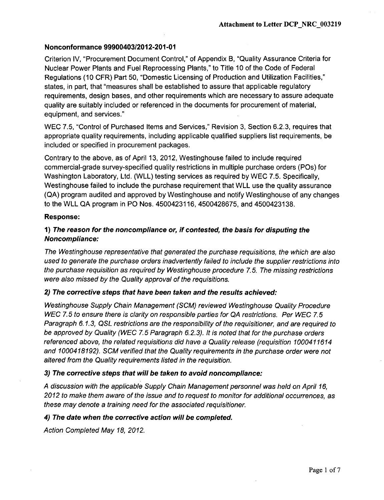## Nonconformance 99900403/2012-201-01

Criterion IV, "Procurement Document Control," of Appendix B, "Quality Assurance Criteria for Nuclear Power Plants and Fuel Reprocessing Plants," to Title **10** of the Code of Federal Regulations **(10** CFR) Part **50,** "Domestic Licensing of Production and Utilization Facilities," states, in part, that "measures shall be established to assure that applicable regulatory requirements, design bases, and other requirements which are necessary to assure adequate quality are suitably included or referenced in the documents for procurement of material, equipment, and services."

WEC **7.5,** "Control of Purchased Items and Services," Revision **3,** Section **6.2.3,** requires that appropriate quality requirements, including applicable qualified suppliers list requirements, be included or specified in procurement packages.

Contrary to the above, as of April **13,** 2012, Westinghouse failed to include required commercial-grade survey-specified quality restrictions in multiple purchase orders (POs) for Washington Laboratory, Ltd. (WLL) testing services as required **by** WEC **7.5.** Specifically, Westinghouse failed to include the purchase requirement that WLL use the quality assurance **(QA)** program audited and approved **by** Westinghouse and notify Westinghouse of any changes to the WLL **QA** program in PO Nos. 4500423116, **4500428675,** and 4500423138.

#### Response:

# *1) The reason for the noncompliance or, if contested, the basis for disputing the Noncompliance:*

*The Westinghouse representative that generated the purchase requisitions, the which are also used to generate the purchase orders inadvertently failed to include the supplier restrictions into the purchase requisition as required by Westinghouse procedure 7.5. The missing restrictions were also missed by the Quality approval of the requisitions.*

#### *2) The corrective steps that have been taken and the results achieved.*

*Westinghouse Supply Chain Management (SCM) reviewed Westinghouse Quality Procedure WEC 7.5 to ensure there is clarity on responsible parties for QA restrictions. Per WEC 7.5 Paragraph 6.1.3, QSL restrictions are the responsibility of the requisitioner, and are required to be approved by Quality (WEC 7.5 Paragraph 6.2.3). It is noted that for the purchase orders referenced above, the related requisitions did have a Quality release (requisition 1000411614 and 1000418192). SCM verified that the Quality requirements in the purchase order were not altered from the Quality requirements listed in the requisition.*

#### *3) The corrective steps that will be taken to avoid noncompliance:*

*A discussion with the applicable Supply Chain Management personnel was held on April 16, 2012 to make them aware of the issue and to request to monitor for additional occurrences, as these may denote a training need for the associated requisitioner.*

### *4) The date when the corrective action will be completed.*

*Action Completed May 18, 2012,*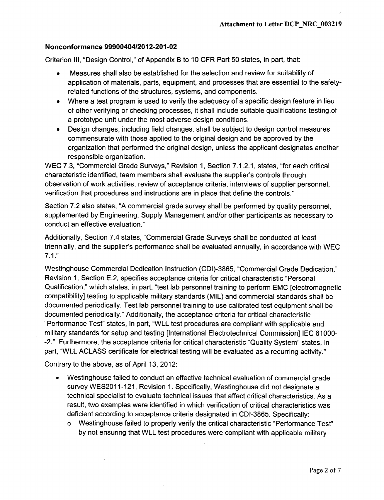## Nonconformance 99900404/2012-201-02

Criterion **III,** "Design Control," of Appendix B to 10 CFR Part 50 states, in part, that:

- Measures shall also be established for the selection and review for suitability of application of materials, parts, equipment, and processes that are essential to the safetyrelated functions of the structures, systems, and components.
- **"** Where a test program is used to verify the adequacy of a specific design feature in lieu of other verifying or checking processes, it shall include suitable qualifications testing of a prototype unit under the most adverse design conditions.
- Design changes, including field changes, shall be subject to design control measures commensurate with those applied to the original design and be approved by the organization that performed the original design, unless the applicant designates another responsible organization.

WEC 7.3, "Commercial Grade Surveys," Revision 1, Section 7.1.2.1, states, "for each critical characteristic identified, team members shall evaluate the supplier's controls through observation of work activities, review of acceptance criteria, interviews of supplier personnel, verification that procedures and instructions are in place that define the controls."

Section 7.2 also states, "A commercial grade survey shall be performed by quality personnel, supplemented by Engineering, Supply Management and/or other participants as necessary to conduct an effective evaluation."

Additionally, Section 7.4 states, "Commercial Grade Surveys shall be conducted at least triennially, and the supplier's performance shall be evaluated annually, in accordance with WEC 7.1."

Westinghouse Commercial Dedication Instruction (CDI)-3865, "Commercial Grade Dedication," Revision 1, Section E.2, specifies acceptance criteria for critical characteristic "Personal Qualification," which states, in part, "test lab personnel training to perform EMC [electromagnetic compatibility] testing to applicable military standards (MIL) and commercial standards shall be documented periodically. Test lab personnel training to use calibrated test equipment shall be documented periodically." Additionally, the acceptance criteria for critical characteristic "Performance Test" states, in part, "WLL test procedures are compliant with applicable and military standards for setup and testing [International Electrotechnical Commission] **IEC** 61000- -2." Furthermore, the acceptance criteria for critical characteristic "Quality System" states, in part, "WLL ACLASS certificate for electrical testing will be evaluated as a recurring activity."

Contrary to the above, as of April 13, 2012:

- Westinghouse failed to conduct an effective technical evaluation of commercial grade survey WES2011-121, Revision 1. Specifically, Westinghouse did not designate a technical specialist to evaluate technical issues that affect critical characteristics. As a result, two examples were identified in which verification of critical characteristics was deficient according to acceptance criteria designated in CDI-3865. Specifically:
	- o Westinghouse failed to properly verify the critical characteristic "Performance Test" by not ensuring that WLL test procedures were compliant with applicable military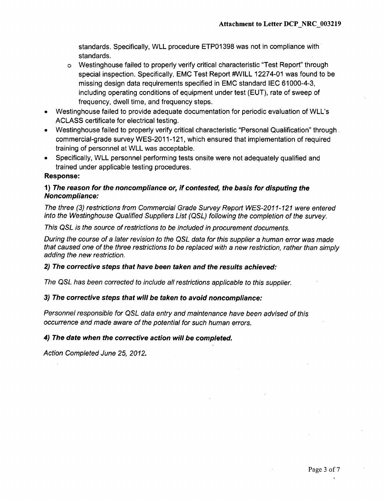standards. Specifically, WLL procedure ETP01398 was not in compliance with standards.

- o Westinghouse failed to properly verify critical characteristic "Test Report" through special inspection. Specifically, EMC Test Report #WILL 12274-01 was found to be missing design data requirements specified in EMC standard **IEC** 61000-4-3, including operating conditions of equipment under test (EUT), rate of sweep of frequency, dwell time, and frequency steps.
- Westinghouse failed to provide adequate documentation for periodic evaluation of WLL's ACLASS certificate for electrical testing.
- Westinghouse failed to properly verify critical characteristic "Personal Qualification" through. commercial-grade survey WES-2011-121, which ensured that implementation of required training of personnel at WLL was acceptable.
- Specifically, WLL personnel performing tests onsite were not adequately qualified and trained under applicable testing procedures.

## Response:

## **1)** *The reason for the noncompliance or, if contested, the basis for disputing the Noncompliance:*

*The three (3) restrictions from Commercial Grade Survey Report WES-2011-121 were entered into the Westinghouse Qualified Suppliers List (QSL) following the completion of the survey.*

*This QSL is the source of restrictions to be included in procurement documents.*

*During the course of a later revision to the QSL data for this supplier a human error was made that caused one of the three restrictions to be replaced with a new restriction, rather than simply adding the new restriction.*

## 2) *The corrective steps that have been taken and the results achieved:*

*The QSL has been corrected to include all restrictions applicable to this supplier.*

## *3) The corrective steps that will be taken to avoid noncompliance:*

*Personnel responsible for QSL data entry and maintenance have been advised of this occurrence and made aware of the potential for such human errors.*

## *4) The date when the corrective action will be completed.*

*Action Completed June 25, 2012.*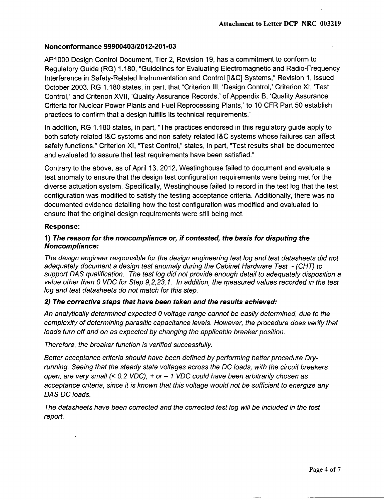#### Nonconformance **99900403/2012-201-03**

**AP1000** Design Control Document, Tier 2, Revision 19, has a commitment to conform to Regulatory Guide (RG) 1.180, "Guidelines for Evaluating Electromagnetic and Radio-Frequency Interference in Safety-Related Instrumentation and Control [I&C] Systems," Revision 1, issued October 2003. RG 1.180 states, in part, that "Criterion Ill, 'Design Control,' Criterion XI, 'Test Control,' and Criterion XVII, 'Quality Assurance Records,' of Appendix B, 'Quality Assurance Criteria for Nuclear Power Plants and Fuel Reprocessing Plants,' to 10 CFR Part 50 establish practices to confirm that a design fulfills its technical requirements."

In addition, RG 1.180 states, in part, "The practices endorsed in this regulatory guide apply to both safety-related **I&C** systems and non-safety-related I&C systems whose failures can affect safety functions." Criterion XI, "Test Control," states, in part, "Test results shall be documented and evaluated to assure that test requirements have been satisfied."

Contrary to the above, as of April 13, 2012, Westinghouse failed to document and evaluate a test anomaly to ensure that the design test configuration requirements were being met for the diverse actuation system. Specifically, Westinghouse failed to record in the test log that the test configuration was modified to satisfy the testing acceptance criteria. Additionally, there was no documented evidence detailing how the test configuration was modified and evaluated to ensure that the original design requirements were still being met.

#### Response:

## **1)** *The reason for the noncompliance or, if contested, the basis for disputing the Noncompliance:*

*The design engineer responsible for the design engineering test log and test datasheets did not adequately document a design test anomaly during the Cabinet Hardware Test - (CHT) to support DAS qualification. The test log did not provide enough detail to adequately disposition a value other than 0 VDC for Step 9,2,23,1. In addition, the measured values recorded in the test log and test datasheets do not match for this step.*

#### 2) *The corrective steps that have been taken and the results achieved:*

*An analytically determined expected 0 voltage range cannot be easily determined, due to the complexity of determining parasitic capacitance levels. However, the procedure does verify that loads turn off and on as expected by changing the applicable breaker position.*

*Therefore, the breaker function is verified successfully.*

*Better acceptance criteria should have been defined by performing better procedure Dryrunning. Seeing that the steady state voltages across the DC loads, with the circuit breakers open, are very small (< 0.2 VDC),* + *or* - **I** *VDC could have been arbitrarily chosen as acceptance criteria, since it is known that this voltage would not be sufficient to energize any DAS DC loads.*

*The datasheets have been corrected and the corrected test log will be included in the test report.*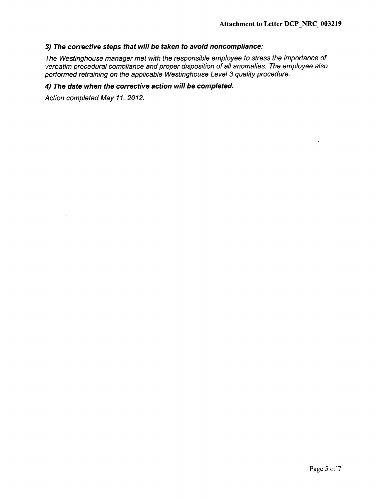## *3) The corrective steps that will be taken to avoid noncompliance:*

*The Westinghouse manager met with the responsible employee to stress the importance of verbatim procedural compliance and proper disposition of all anomalies. The employee also performed retraining on the applicable Westinghouse Level 3 quality procedure.*

# *4) The date when the corrective action will be completed.*

*Action completed May 11, 2012.*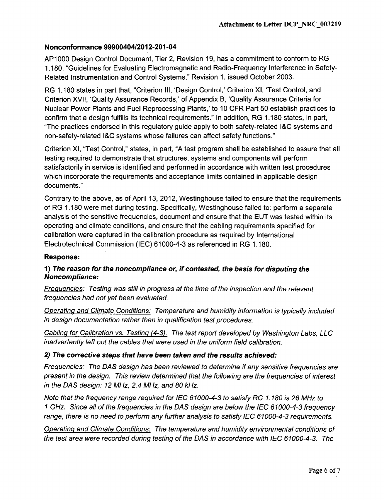## Nonconformance 99900404/2012-201-04

AP1 000 Design Control Document, Tier 2, Revision 19, has a commitment to conform to RG 1.180, "Guidelines for Evaluating Electromagnetic and Radio-Frequency Interference in Safety-Related Instrumentation and Control Systems," Revision 1, issued October 2003.

RG 1.180 states in part that, "Criterion Ill, 'Design Control,' Criterion XI, 'Test Control, and Criterion XVII, 'Quality Assurance Records,' of Appendix B, 'Quality Assurance Criteria for Nuclear Power Plants and Fuel Reprocessing Plants,' to 10 CFR Part 50 establish practices to confirm that a design fulfills its technical requirements." In addition, RG 1.180 states, in part, "The practices endorsed in this regulatory guide apply to both safety-related **I&C** systems and non-safety-related **I&C** systems whose failures can affect safety functions."

Criterion XI, "Test Control," states, in part, "A test program shall be established to assure that all testing required to demonstrate that structures, systems and components will perform satisfactorily in service is identified and performed in accordance with written test procedures which incorporate the requirements and acceptance limits contained in applicable design documents."

Contrary to the above, as of April 13, 2012, Westinghouse failed to ensure that the requirements of RG 1.180 were met during testing. Specifically, Westinghouse failed to: perform a separate analysis of the sensitive frequencies, document and ensure that the EUT was tested within its operating and climate conditions, and ensure that the cabling requirements specified for calibration were captured in the calibration procedure as required by International Electrotechnical Commission (IEC) 61000-4-3 as referenced in RG 1.180.

## Response:

# **1)** *The reason for the noncompliance or, if contested, the basis for disputing the Noncompliance:*

*Frequencies: Testing was still in progress at the time of the inspection and the relevant frequencies had not yet been evaluated.*

*Operating and Climate Conditions: Temperature and humidity information is typically included in design documentation rather than in qualification test procedures.*

*Cablinq for Calibration vs. Testing (4-3): The test report developed by Washington Labs, LLC inadvertently left out the cables that were used in the uniform field calibration.*

## *2) The corrective steps that have been taken and the results achieved:*

*Frequencies: The DAS design has been reviewed to determine if any sensitive frequencies are present in the design. This review determined that the following are the frequencies of interest in the DAS design: 12 MHz, 2.4 MHz, and 80 kHz.*

*Note that the frequency range required for IEC 61000-4-3 to satisfy RG 1.180 is 26 MHz to* **I** *GHz. Since all of the frequencies in the DAS design are below the IEC 61000-4-3 frequency range, there is no need to perform any further analysis to satisfy IEC 61000-4-3 requirements.*

*Operating and Climate Conditions: The temperature and humidity environmental conditions of the test area were recorded during testing of the DAS in accordance with IEC 61000-4-3. The*